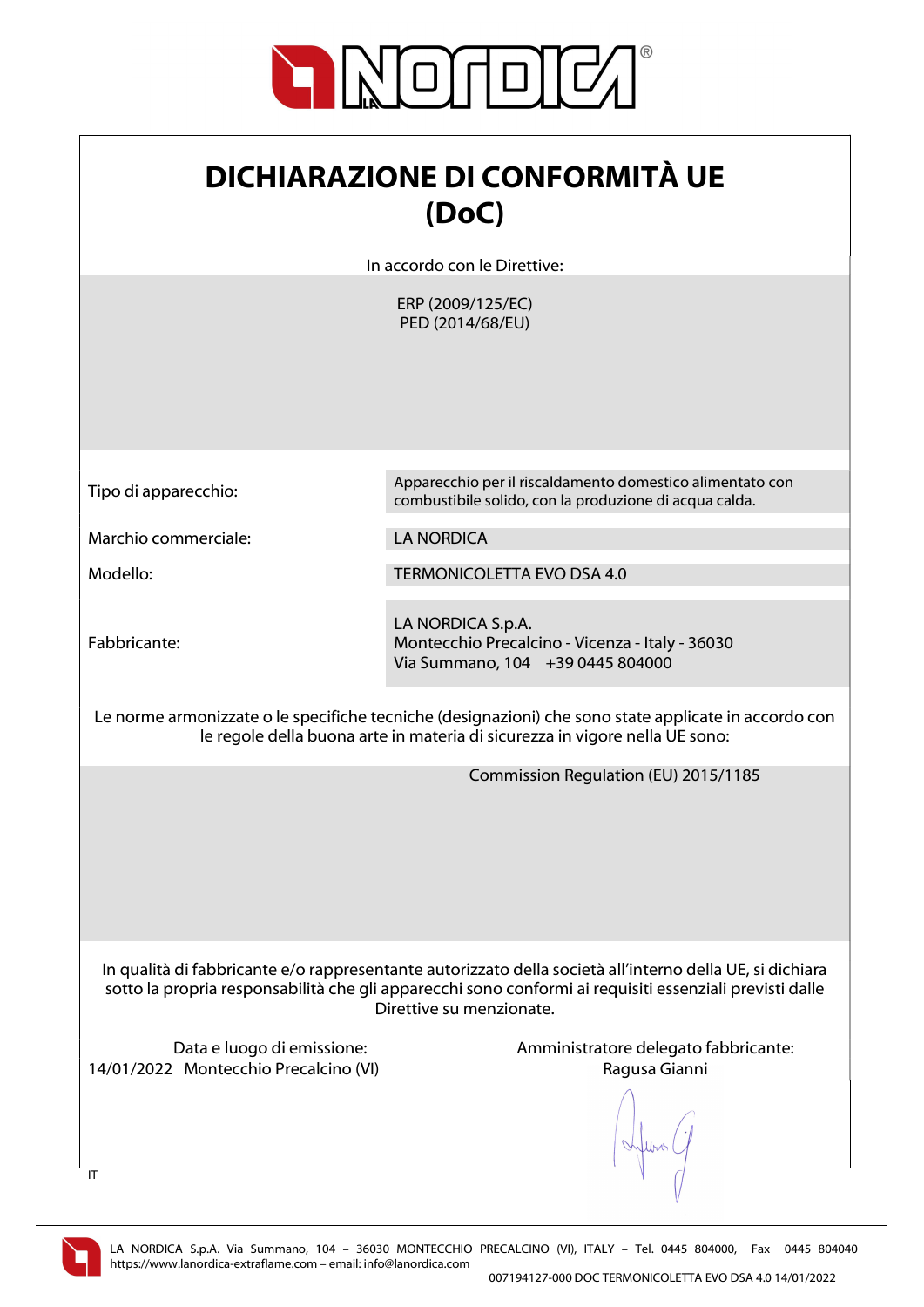

| <b>DICHIARAZIONE DI CONFORMITÀ UE</b> |
|---------------------------------------|
| (DoC)                                 |

In accordo con le Direttive:

ERP (2009/125/EC) PED (2014/68/EU)

Tipo di apparecchio: Apparecchio per il riscaldamento domestico alimentato con combustibile solido, con la produzione di acqua calda.

Marchio commerciale: LA NORDICA

Modello: TERMONICOLETTA EVO DSA 4.0

Fabbricante:

LA NORDICA S.p.A. Montecchio Precalcino - Vicenza - Italy - 36030 Via Summano, 104 +39 0445 804000

Le norme armonizzate o le specifiche tecniche (designazioni) che sono state applicate in accordo con le regole della buona arte in materia di sicurezza in vigore nella UE sono:

Commission Regulation (EU) 2015/1185

In qualità di fabbricante e/o rappresentante autorizzato della società all'interno della UE, si dichiara sotto la propria responsabilità che gli apparecchi sono conformi ai requisiti essenziali previsti dalle Direttive su menzionate.

14/01/2022 Montecchio Precalcino (VI) Ragusa Gianni

Data e luogo di emissione: Amministratore delegato fabbricante:

When



 $\overline{I}$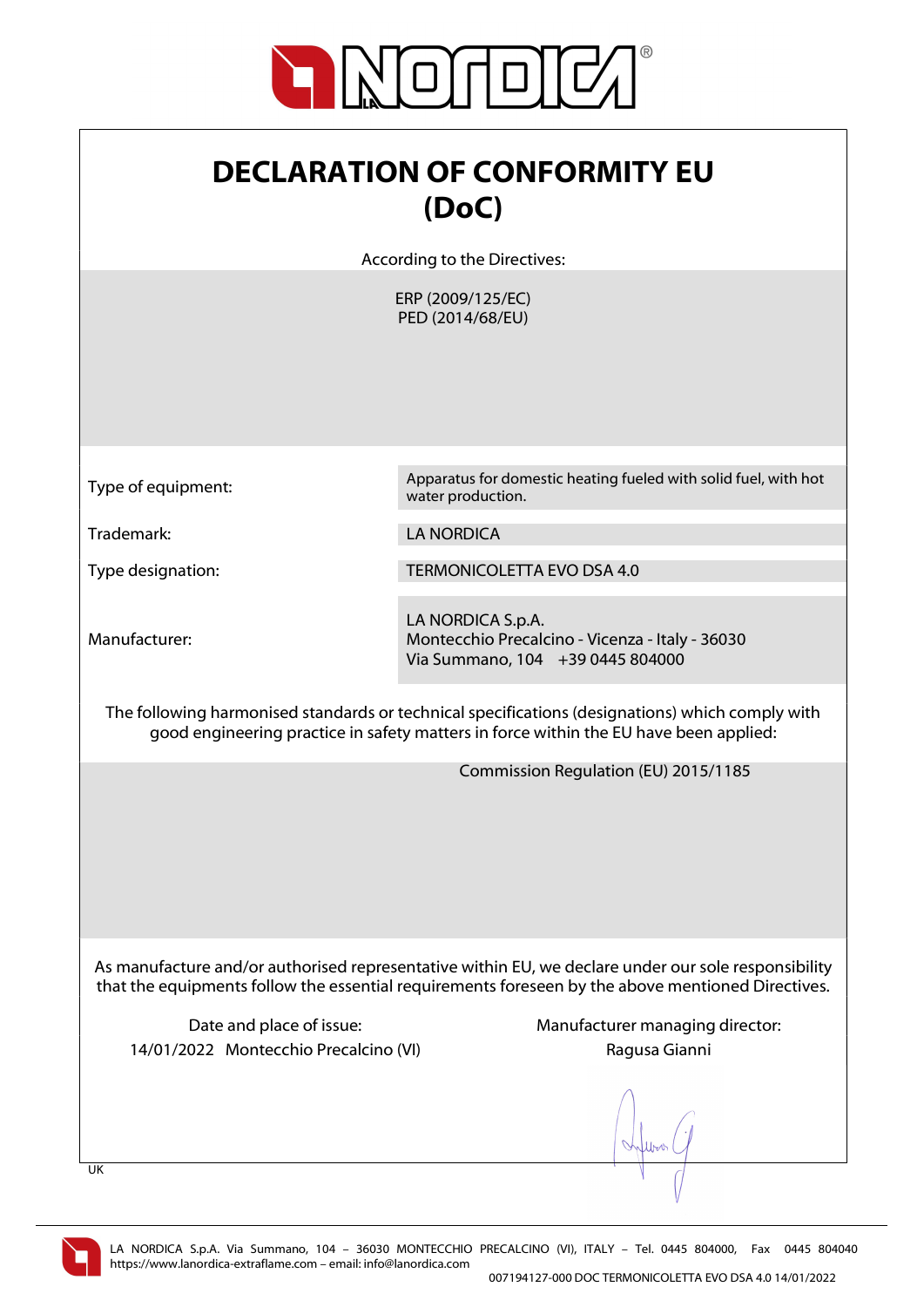

| <b>DECLARATION OF CONFORMITY EU</b> |
|-------------------------------------|
| (DoC)                               |

According to the Directives:

ERP (2009/125/EC) PED (2014/68/EU)

Type of equipment: Apparatus for domestic heating fueled with solid fuel, with hot water production.

Trademark: LA NORDICA

Manufacturer:

Type designation: TERMONICOLETTA EVO DSA 4.0

LA NORDICA S.p.A. Montecchio Precalcino - Vicenza - Italy - 36030 Via Summano, 104 +39 0445 804000

The following harmonised standards or technical specifications (designations) which comply with good engineering practice in safety matters in force within the EU have been applied:

Commission Regulation (EU) 2015/1185

As manufacture and/or authorised representative within EU, we declare under our sole responsibility that the equipments follow the essential requirements foreseen by the above mentioned Directives.

14/01/2022 Montecchio Precalcino (VI) Ragusa Gianni

Date and place of issue: Manufacturer managing director:

lers

UK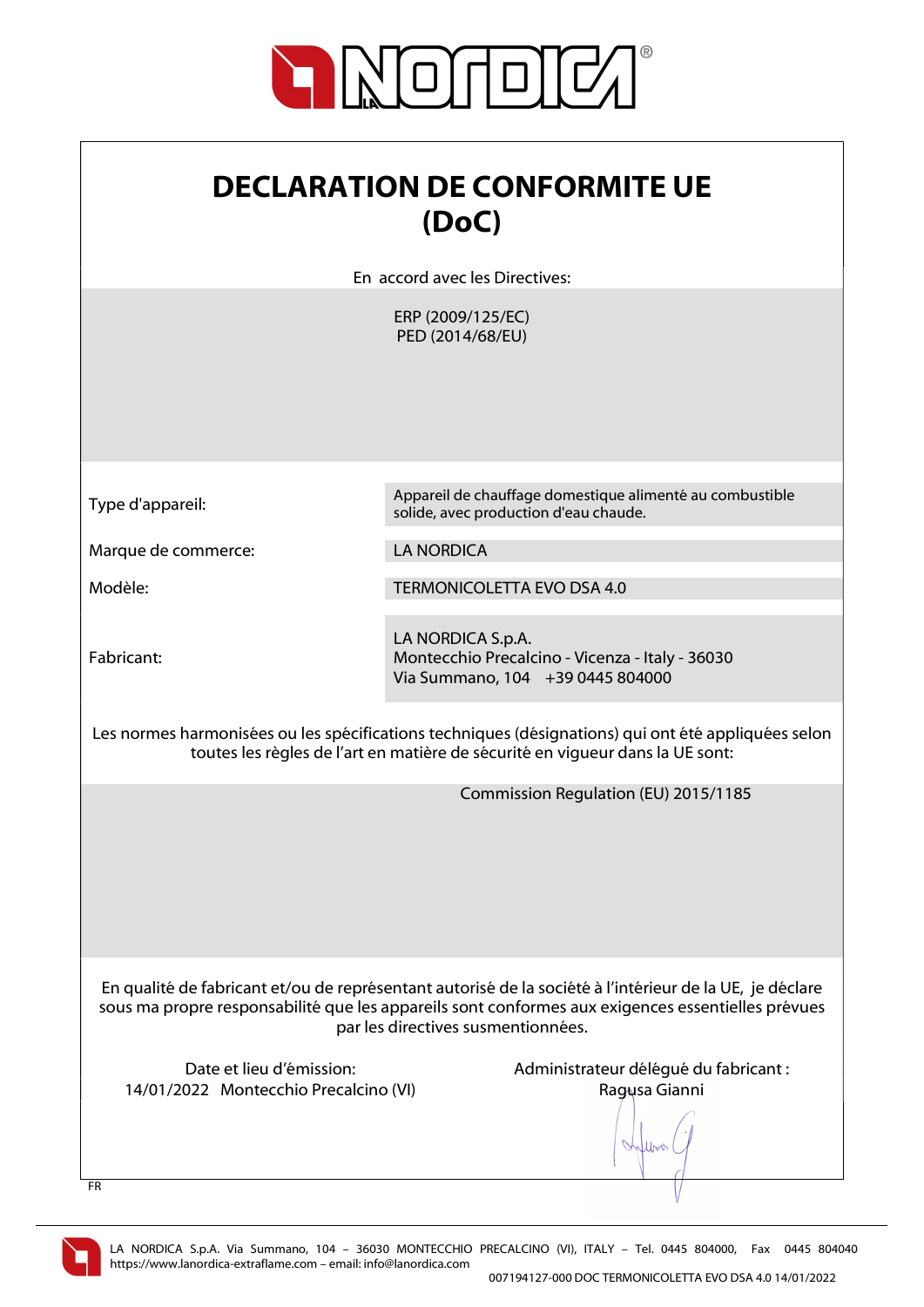

| <b>DECLARATION DE CONFORMITE UE</b><br>(DoC)<br>En accord avec les Directives:                                                                                                                                                                     |                                                                                                          |
|----------------------------------------------------------------------------------------------------------------------------------------------------------------------------------------------------------------------------------------------------|----------------------------------------------------------------------------------------------------------|
|                                                                                                                                                                                                                                                    | ERP (2009/125/EC)<br>PED (2014/68/EU)                                                                    |
| Type d'appareil:                                                                                                                                                                                                                                   | Appareil de chauffage domestique alimenté au combustible<br>solide, avec production d'eau chaude.        |
| Marque de commerce:                                                                                                                                                                                                                                | <b>LA NORDICA</b>                                                                                        |
| Modèle:                                                                                                                                                                                                                                            | <b>TERMONICOLETTA EVO DSA 4.0</b>                                                                        |
| Fabricant:                                                                                                                                                                                                                                         | LA NORDICA S.p.A.<br>Montecchio Precalcino - Vicenza - Italy - 36030<br>Via Summano, 104 +39 0445 804000 |
| Les normes harmonisées ou les spécifications techniques (désignations) qui ont été appliquées selon<br>toutes les règles de l'art en matière de sécurité en viqueur dans la UE sont:                                                               |                                                                                                          |
|                                                                                                                                                                                                                                                    | Commission Regulation (EU) 2015/1185                                                                     |
| En qualité de fabricant et/ou de représentant autorisé de la société à l'intérieur de la UE, je déclare<br>sous ma propre responsabilité que les appareils sont conformes aux exigences essentielles prévues<br>par les directives susmentionnées. |                                                                                                          |
| Date et lieu d'émission:<br>14/01/2022 Montecchio Precalcino (VI)<br><b>FR</b>                                                                                                                                                                     | Administrateur délégué du fabricant :<br>Ragusa Gianni                                                   |

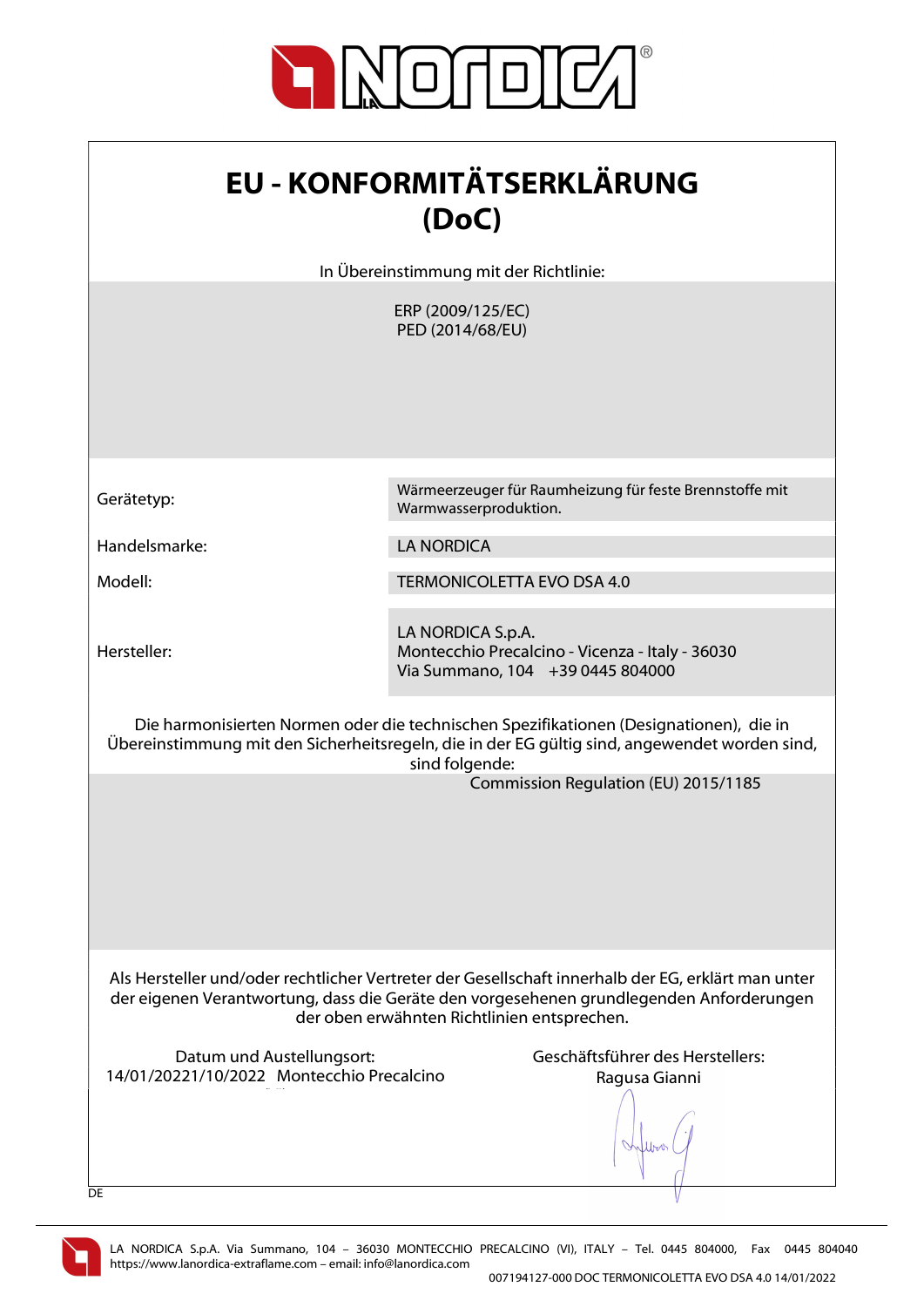

| <b>EU - KONFORMITÄTSERKLÄRUNG</b> |
|-----------------------------------|
| (DoC)                             |

In Übereinstimmung mit der Richtlinie:

ERP (2009/125/EC) PED (2014/68/EU)

Handelsmarke: LA NORDICA

Hersteller:

Gerätetyp: Wärmeerzeuger für Raumheizung für feste Brennstoffe mit Warmwasserproduktion.

Modell: TERMONICOLETTA EVO DSA 4.0

LA NORDICA S.p.A. Montecchio Precalcino - Vicenza - Italy - 36030 Via Summano, 104 +39 0445 804000

Die harmonisierten Normen oder die technischen Spezifikationen (Designationen), die in Übereinstimmung mit den Sicherheitsregeln, die in der EG gültig sind, angewendet worden sind, sind folgende:

Commission Regulation (EU) 2015/1185

Als Hersteller und/oder rechtlicher Vertreter der Gesellschaft innerhalb der EG, erklärt man unter der eigenen Verantwortung, dass die Geräte den vorgesehenen grundlegenden Anforderungen der oben erwähnten Richtlinien entsprechen.

Datum und Austellungsort: Geschäftsführer des Herstellers: 14/01/20221/10/2022 Montecchio Precalcino  $\mathcal{N}(\mathcal{N})$ 

Ragusa Gianni

lbor.



**DE**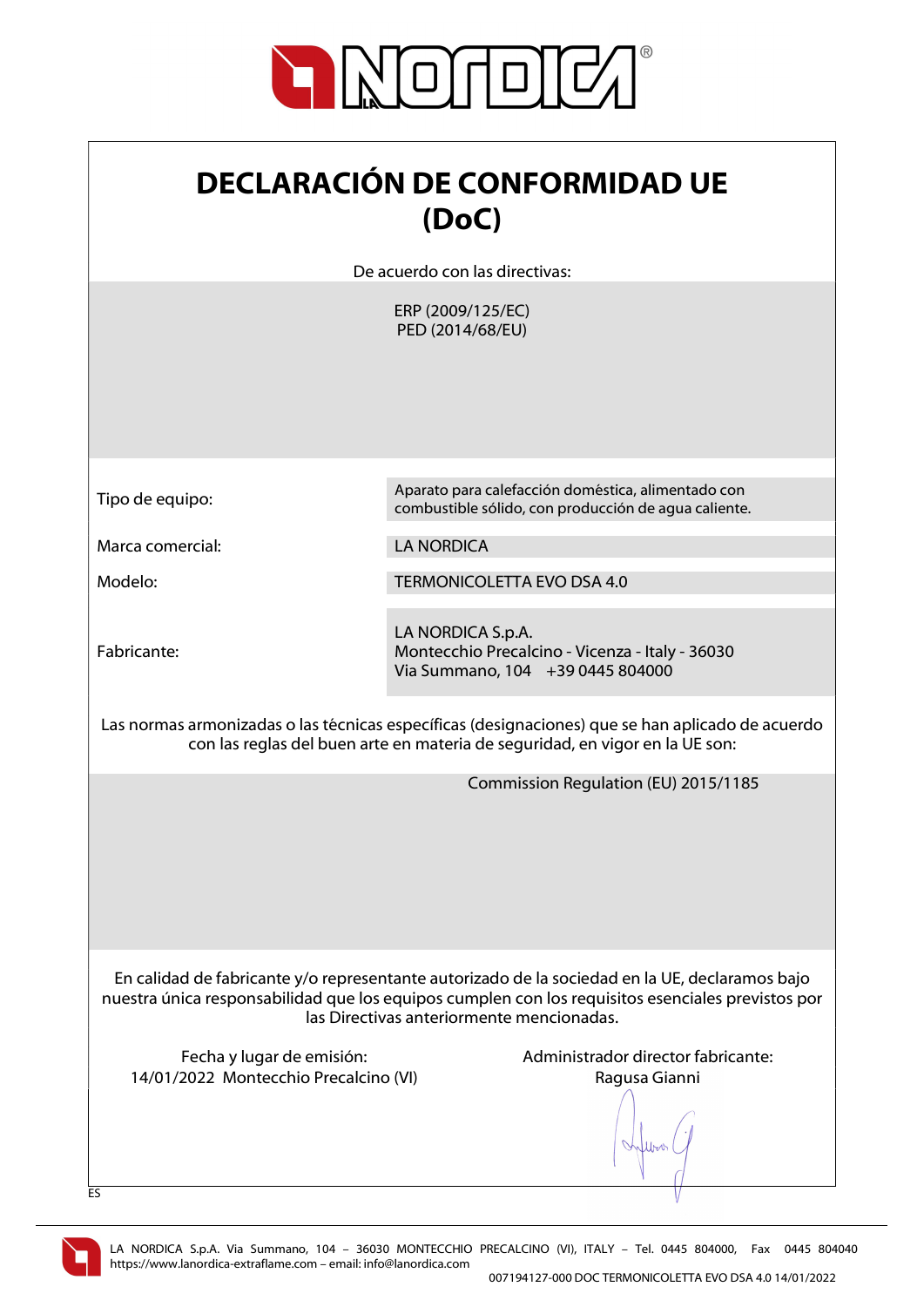

| <b>DECLARACIÓN DE CONFORMIDAD UE</b> |
|--------------------------------------|
| (DoC)                                |

De acuerdo con las directivas:

ERP (2009/125/EC) PED (2014/68/EU)

| Tipo de equipo: |  |
|-----------------|--|
|-----------------|--|

Marca comercial: LA NORDICA

Fabricante:

Aparato para calefacción doméstica, alimentado con combustible sólido, con producción de agua caliente.

Modelo: TERMONICOLETTA EVO DSA 4.0

LA NORDICA S.p.A. Montecchio Precalcino - Vicenza - Italy - 36030 Via Summano, 104 +39 0445 804000

Las normas armonizadas o las técnicas específicas (designaciones) que se han aplicado de acuerdo con las reglas del buen arte en materia de seguridad, en vigor en la UE son:

Commission Regulation (EU) 2015/1185

En calidad de fabricante y/o representante autorizado de la sociedad en la UE, declaramos bajo nuestra única responsabilidad que los equipos cumplen con los requisitos esenciales previstos por las Directivas anteriormente mencionadas.

14/01/2022 Montecchio Precalcino (VI) Ragusa Gianni

Fecha y lugar de emisión:  $\blacksquare$  Administrador director fabricante:

lers

ES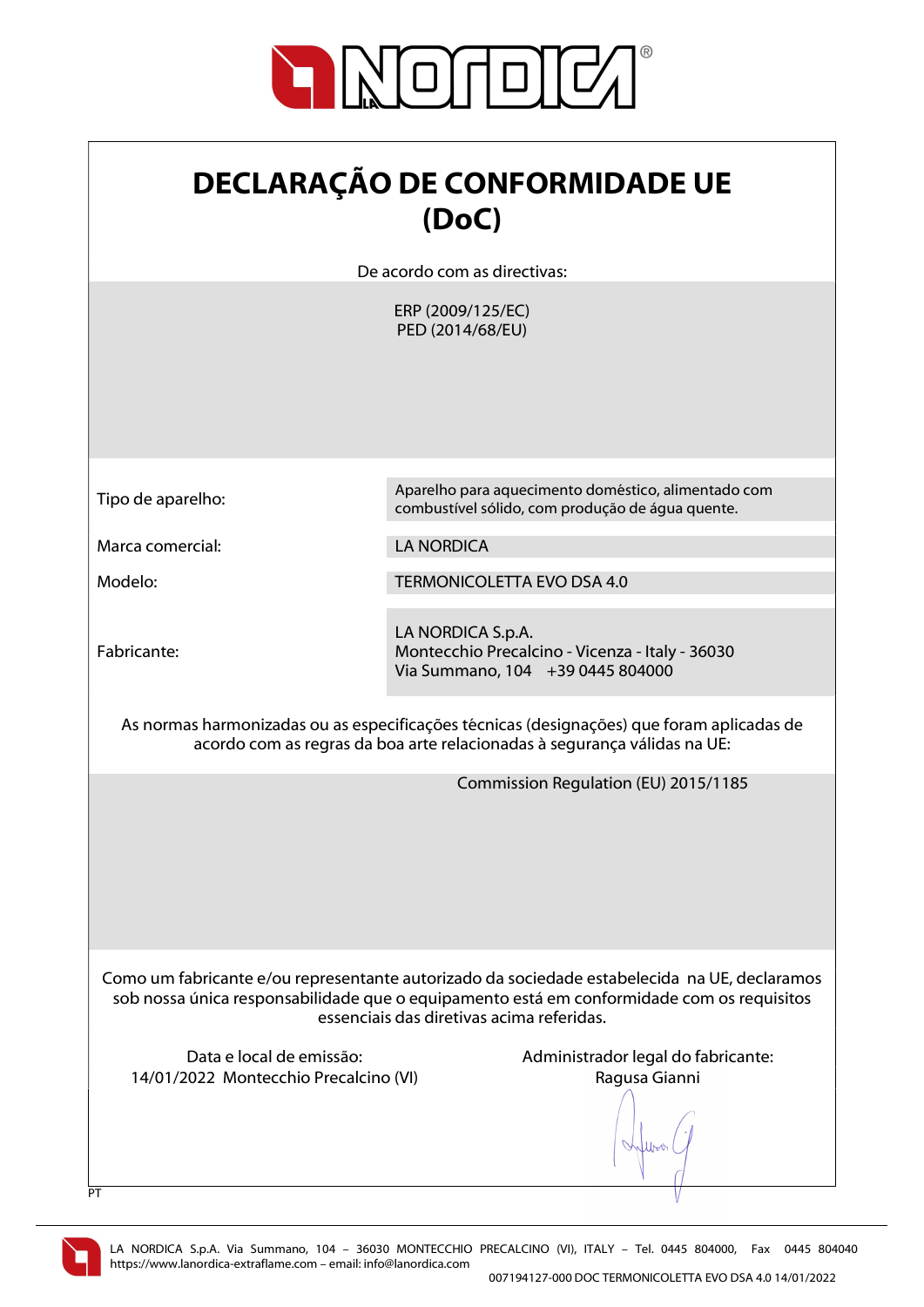

| <b>DECLARAÇÃO DE CONFORMIDADE UE</b> |
|--------------------------------------|
| (DoC)                                |

De acordo com as directivas:

ERP (2009/125/EC) PED (2014/68/EU)

| Tipo de aparelho: |  |
|-------------------|--|
|-------------------|--|

Marca comercial: LA NORDICA

Fabricante:

Aparelho para aquecimento doméstico, alimentado com combustível sólido, com produção de água quente.

Modelo: TERMONICOLETTA EVO DSA 4.0

LA NORDICA S.p.A. Montecchio Precalcino - Vicenza - Italy - 36030 Via Summano, 104 +39 0445 804000

As normas harmonizadas ou as especificações técnicas (designações) que foram aplicadas de acordo com as regras da boa arte relacionadas à segurança válidas na UE:

Commission Regulation (EU) 2015/1185

Como um fabricante e/ou representante autorizado da sociedade estabelecida na UE, declaramos sob nossa única responsabilidade que o equipamento está em conformidade com os requisitos essenciais das diretivas acima referidas.

14/01/2022 Montecchio Precalcino (VI) Ragusa Gianni

Data e local de emissão:  $\blacksquare$  Administrador legal do fabricante:

Lyon



 $\overline{P}$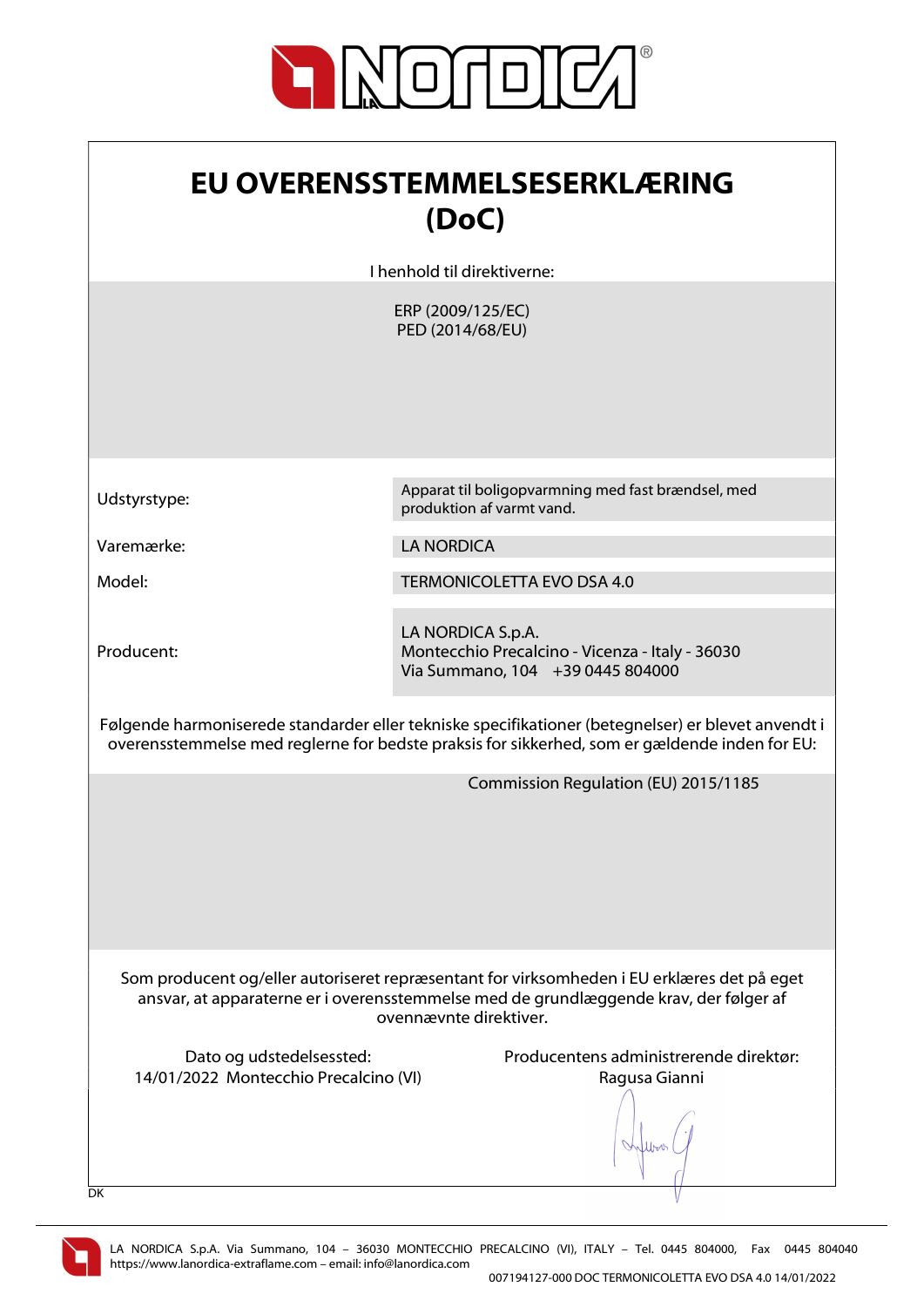

| EU OVERENSSTEMMELSESERKLÆRING |
|-------------------------------|
| (DoC)                         |

I henhold til direktiverne:

ERP (2009/125/EC) PED (2014/68/EU)

Producent:

Udstyrstype: Apparat til boligopvarmning med fast brændsel, med produktion af varmt vand.

Varemærke: LA NORDICA

Model: TERMONICOLETTA EVO DSA 4.0

LA NORDICA S.p.A. Montecchio Precalcino - Vicenza - Italy - 36030 Via Summano, 104 +39 0445 804000

Følgende harmoniserede standarder eller tekniske specifikationer (betegnelser) er blevet anvendt i overensstemmelse med reglerne for bedste praksis for sikkerhed, som er gældende inden for EU:

Commission Regulation (EU) 2015/1185

Som producent og/eller autoriseret repræsentant for virksomheden i EU erklæres det på eget ansvar, at apparaterne er i overensstemmelse med de grundlæggende krav, der følger af ovennævnte direktiver.

14/01/2022 Montecchio Precalcino (VI) Ragusa Gianni

Dato og udstedelsessted: Producentens administrerende direktør:

lers

DK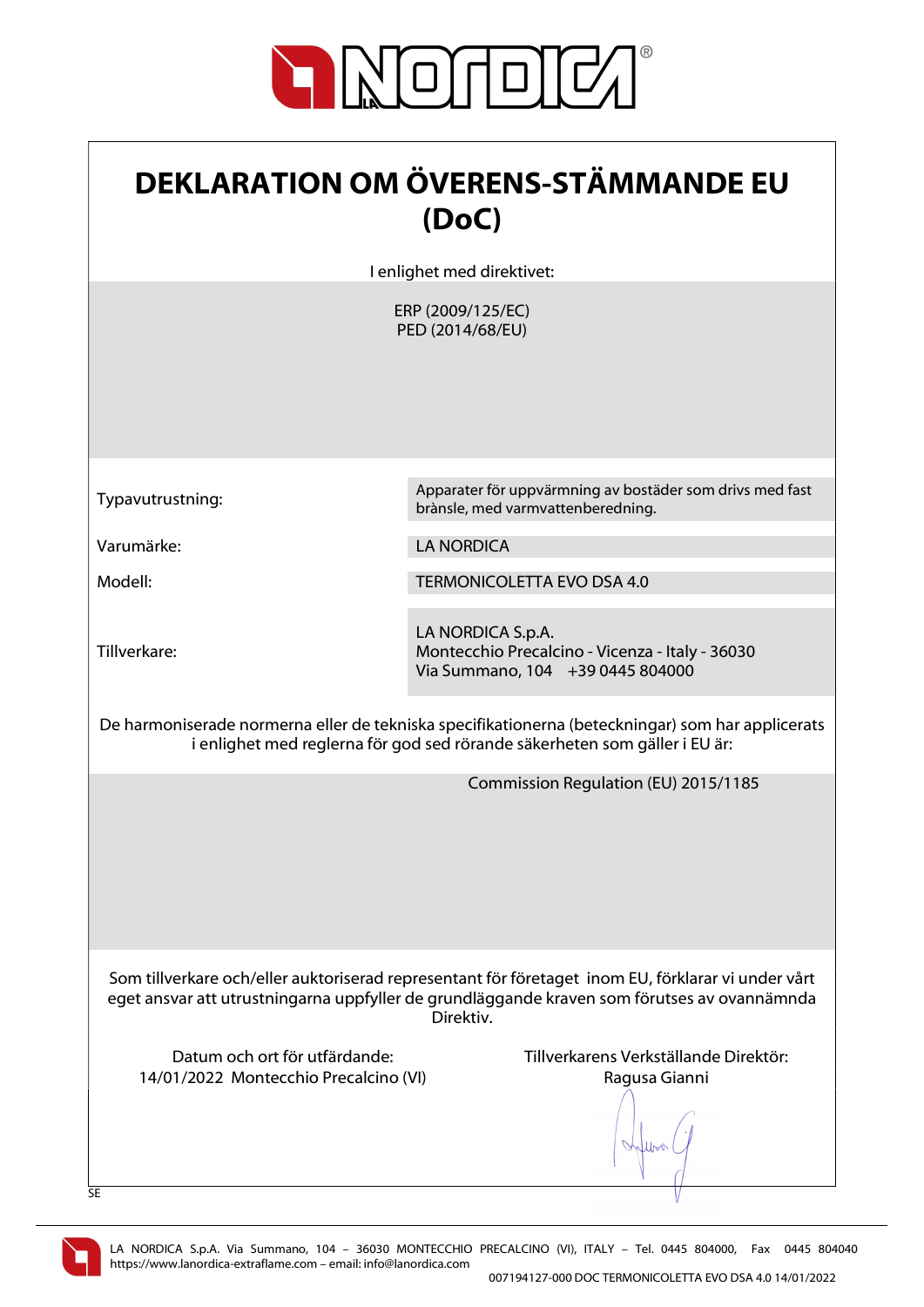

| <b>DEKLARATION OM ÖVERENS-STÄMMANDE EU</b><br>(DoC)                                                                                                                                                            |                                                                                                          |
|----------------------------------------------------------------------------------------------------------------------------------------------------------------------------------------------------------------|----------------------------------------------------------------------------------------------------------|
|                                                                                                                                                                                                                | I enlighet med direktivet:                                                                               |
|                                                                                                                                                                                                                | ERP (2009/125/EC)<br>PED (2014/68/EU)                                                                    |
| Typavutrustning:                                                                                                                                                                                               | Apparater för uppvärmning av bostäder som drivs med fast<br>brànsle, med varmvattenberedning.            |
| Varumärke:                                                                                                                                                                                                     | <b>LA NORDICA</b>                                                                                        |
| Modell:                                                                                                                                                                                                        | <b>TERMONICOLETTA EVO DSA 4.0</b>                                                                        |
| Tillverkare:                                                                                                                                                                                                   | LA NORDICA S.p.A.<br>Montecchio Precalcino - Vicenza - Italy - 36030<br>Via Summano, 104 +39 0445 804000 |
| De harmoniserade normerna eller de tekniska specifikationerna (beteckningar) som har applicerats<br>i enlighet med reglerna för god sed rörande säkerheten som gäller i EU är:                                 |                                                                                                          |
|                                                                                                                                                                                                                | Commission Regulation (EU) 2015/1185                                                                     |
| Som tillverkare och/eller auktoriserad representant för företaget inom EU, förklarar vi under vårt<br>eget ansvar att utrustningarna uppfyller de grundläggande kraven som förutses av ovannämnda<br>Direktiv. |                                                                                                          |
| Datum och ort för utfärdande:<br>14/01/2022 Montecchio Precalcino (VI)<br>SE                                                                                                                                   | Tillverkarens Verkställande Direktör:<br>Ragusa Gianni                                                   |

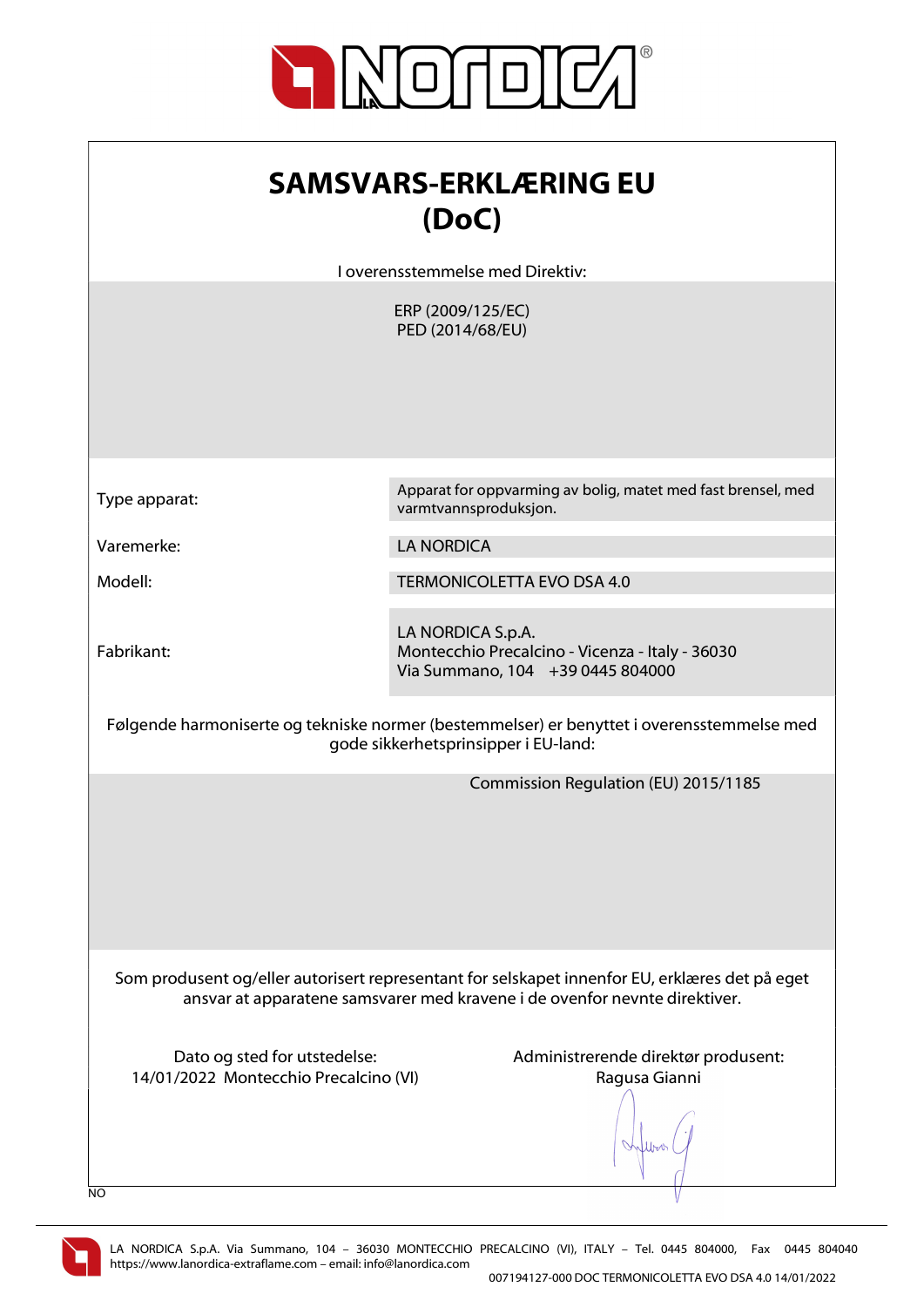

| <b>SAMSVARS-ERKLÆRING EU</b><br>(DoC)                                        |                                                                                                                                                                              |
|------------------------------------------------------------------------------|------------------------------------------------------------------------------------------------------------------------------------------------------------------------------|
|                                                                              | I overensstemmelse med Direktiv:                                                                                                                                             |
|                                                                              | ERP (2009/125/EC)<br>PED (2014/68/EU)                                                                                                                                        |
| Type apparat:                                                                | Apparat for oppvarming av bolig, matet med fast brensel, med<br>varmtvannsproduksjon.                                                                                        |
| Varemerke:                                                                   | <b>LA NORDICA</b>                                                                                                                                                            |
| Modell:                                                                      | <b>TERMONICOLETTA EVO DSA 4.0</b>                                                                                                                                            |
| Fabrikant:                                                                   | LA NORDICA S.p.A.<br>Montecchio Precalcino - Vicenza - Italy - 36030<br>Via Summano, 104 +39 0445 804000                                                                     |
|                                                                              | Følgende harmoniserte og tekniske normer (bestemmelser) er benyttet i overensstemmelse med<br>gode sikkerhetsprinsipper i EU-land:                                           |
|                                                                              | Commission Regulation (EU) 2015/1185                                                                                                                                         |
|                                                                              | Som produsent og/eller autorisert representant for selskapet innenfor EU, erklæres det på eget<br>ansvar at apparatene samsvarer med kravene i de ovenfor nevnte direktiver. |
| Dato og sted for utstedelse:<br>14/01/2022 Montecchio Precalcino (VI)<br>NO. | Administrerende direktør produsent:<br>Ragusa Gianni                                                                                                                         |

V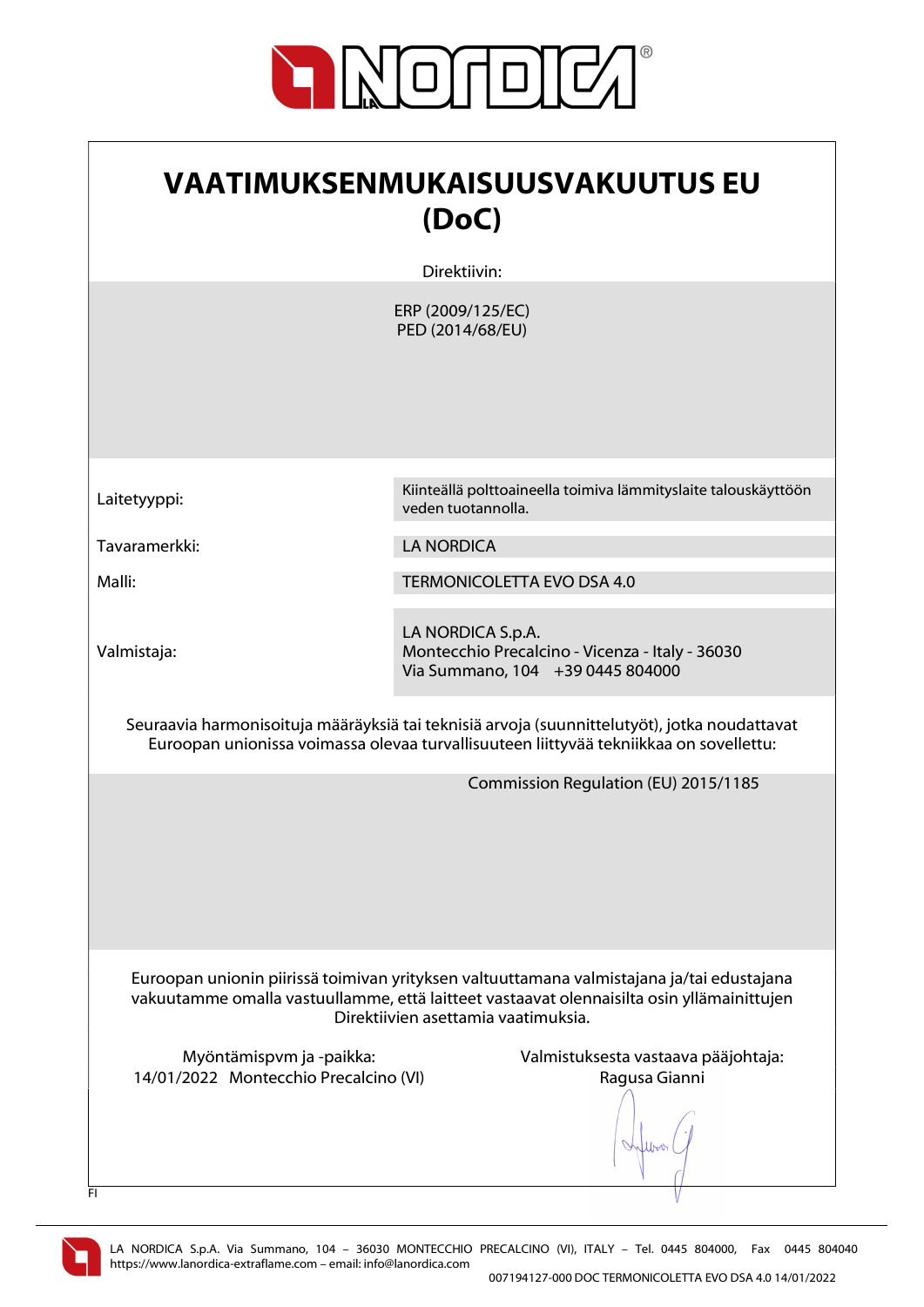

 $\overline{\phantom{a}}$ 

| VAATIMUKSENMUKAISUUSVAKUUTUS EU<br>(DoC)                                                                                                                                                                                      |  |
|-------------------------------------------------------------------------------------------------------------------------------------------------------------------------------------------------------------------------------|--|
| Direktiivin:                                                                                                                                                                                                                  |  |
| ERP (2009/125/EC)<br>PED (2014/68/EU)                                                                                                                                                                                         |  |
| Kiinteällä polttoaineella toimiva lämmityslaite talouskäyttöön<br>veden tuotannolla.                                                                                                                                          |  |
| <b>LA NORDICA</b>                                                                                                                                                                                                             |  |
| <b>TERMONICOLETTA EVO DSA 4.0</b>                                                                                                                                                                                             |  |
| LA NORDICA S.p.A.<br>Montecchio Precalcino - Vicenza - Italy - 36030<br>Via Summano, 104 +39 0445 804000                                                                                                                      |  |
| Seuraavia harmonisoituja määräyksiä tai teknisiä arvoja (suunnittelutyöt), jotka noudattavat<br>Euroopan unionissa voimassa olevaa turvallisuuteen liittyvää tekniikkaa on sovellettu:                                        |  |
| Commission Regulation (EU) 2015/1185                                                                                                                                                                                          |  |
| Euroopan unionin piirissä toimivan yrityksen valtuuttamana valmistajana ja/tai edustajana<br>vakuutamme omalla vastuullamme, että laitteet vastaavat olennaisilta osin yllämainittujen<br>Direktiivien asettamia vaatimuksia. |  |
| Valmistuksesta vastaava pääjohtaja:<br>14/01/2022 Montecchio Precalcino (VI)<br>Ragusa Gianni                                                                                                                                 |  |
|                                                                                                                                                                                                                               |  |



 $\Gamma$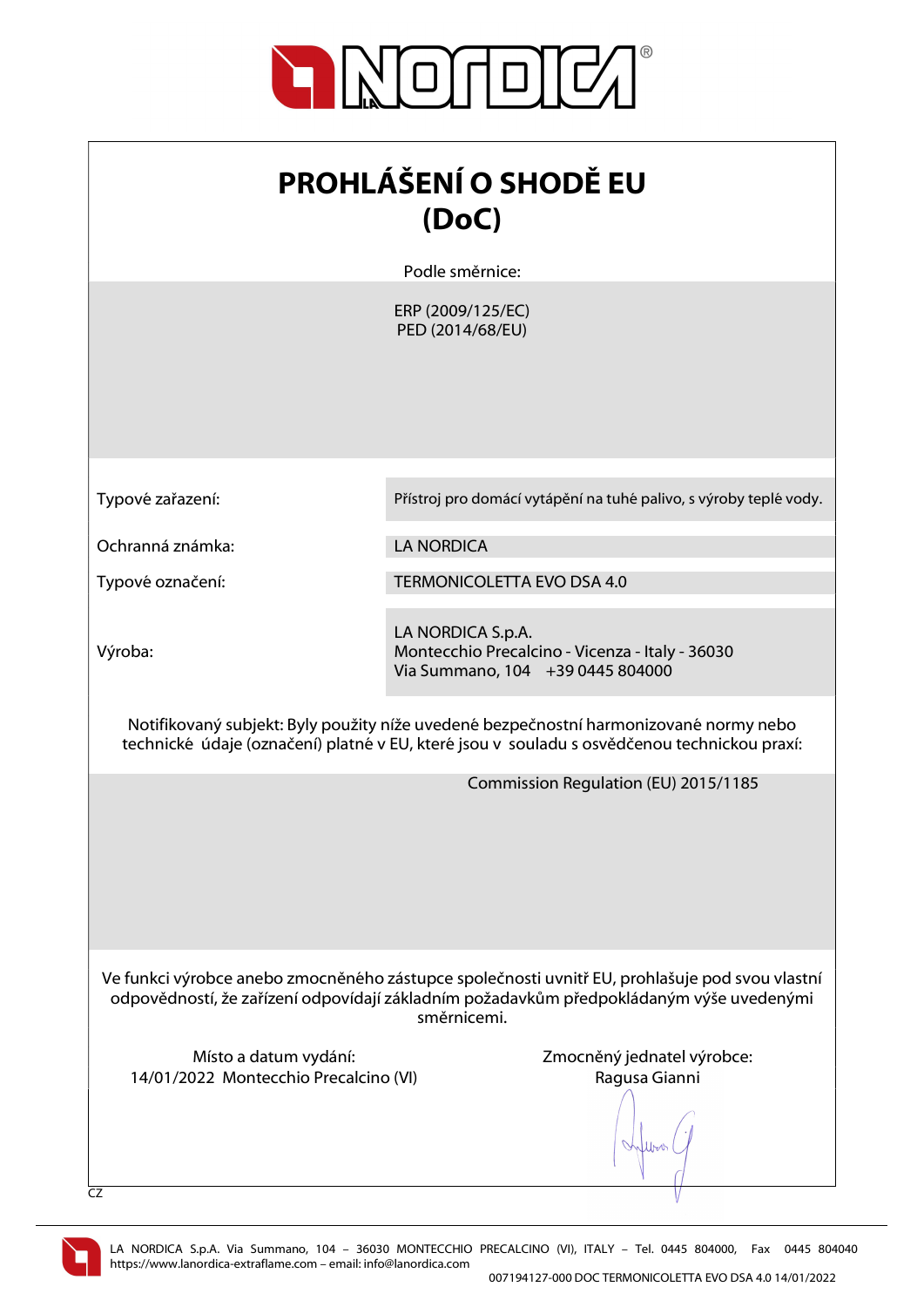

| <b>PROHLÁŠENÍ O SHODĚ EU</b> |
|------------------------------|
| (DoC)                        |

Podle směrnice:

ERP (2009/125/EC) PED (2014/68/EU)

Typové zařazení: Přístroj pro domácí vytápění na tuhé palivo, s výroby teplé vody.

Ochranná známka: LA NORDICA

Typové označení: TERMONICOLETTA EVO DSA 4.0

Výroba:

LA NORDICA S.p.A. Montecchio Precalcino - Vicenza - Italy - 36030 Via Summano, 104 +39 0445 804000

Notifikovaný subjekt: Byly použity níže uvedené bezpečnostní harmonizované normy nebo technické údaje (označení) platné v EU, které jsou v souladu s osvědčenou technickou praxí:

Commission Regulation (EU) 2015/1185

Ve funkci výrobce anebo zmocněného zástupce společnosti uvnitř EU, prohlašuje pod svou vlastní odpovědností, že zařízení odpovídají základním požadavkům předpokládaným výše uvedenými směrnicemi.

Místo a datum vydání: Zmocněný jednatel výrobce: 14/01/2022 Montecchio Precalcino (VI) Ragusa Gianni

When

CZ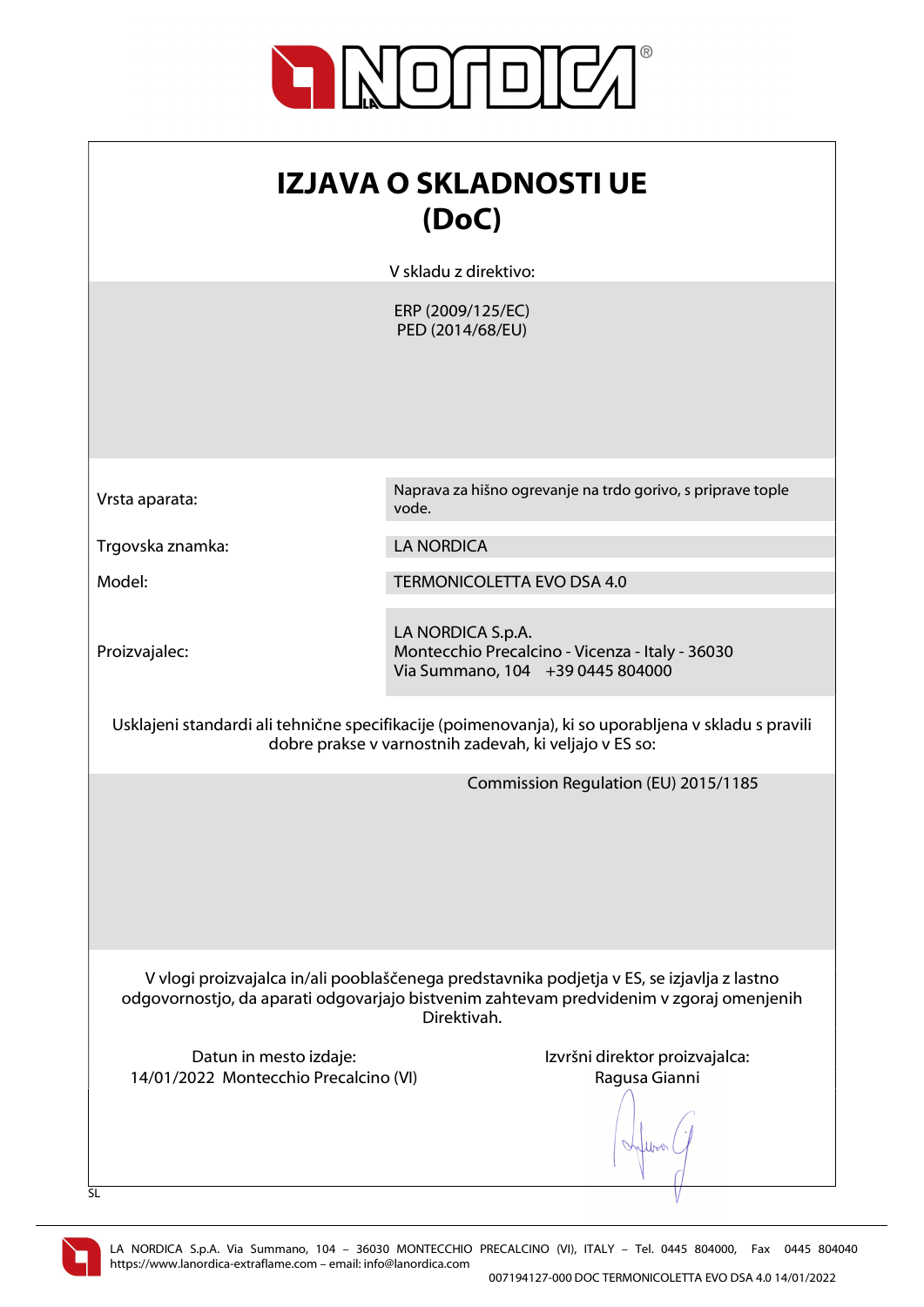

| IZJAVA O SKLADNOSTI UE<br>(DoC)                                                                                                                                                                      |                                                                                                          |  |
|------------------------------------------------------------------------------------------------------------------------------------------------------------------------------------------------------|----------------------------------------------------------------------------------------------------------|--|
|                                                                                                                                                                                                      | V skladu z direktivo:                                                                                    |  |
|                                                                                                                                                                                                      | ERP (2009/125/EC)<br>PED (2014/68/EU)                                                                    |  |
| Vrsta aparata:                                                                                                                                                                                       | Naprava za hišno ogrevanje na trdo gorivo, s priprave tople<br>vode.                                     |  |
| Trgovska znamka:                                                                                                                                                                                     | <b>LA NORDICA</b>                                                                                        |  |
| Model:                                                                                                                                                                                               | TERMONICOLETTA EVO DSA 4.0                                                                               |  |
| Proizvajalec:                                                                                                                                                                                        | LA NORDICA S.p.A.<br>Montecchio Precalcino - Vicenza - Italy - 36030<br>Via Summano, 104 +39 0445 804000 |  |
| Usklajeni standardi ali tehnične specifikacije (poimenovanja), ki so uporabljena v skladu s pravili<br>dobre prakse v varnostnih zadevah, ki veljajo v ES so:                                        |                                                                                                          |  |
|                                                                                                                                                                                                      | Commission Regulation (EU) 2015/1185                                                                     |  |
| V vlogi proizvajalca in/ali pooblaščenega predstavnika podjetja v ES, se izjavlja z lastno<br>odgovornostjo, da aparati odgovarjajo bistvenim zahtevam predvidenim v zgoraj omenjenih<br>Direktivah. |                                                                                                          |  |
| Datun in mesto izdaje:<br>14/01/2022 Montecchio Precalcino (VI)                                                                                                                                      | Izvršni direktor proizvajalca:<br>Ragusa Gianni                                                          |  |

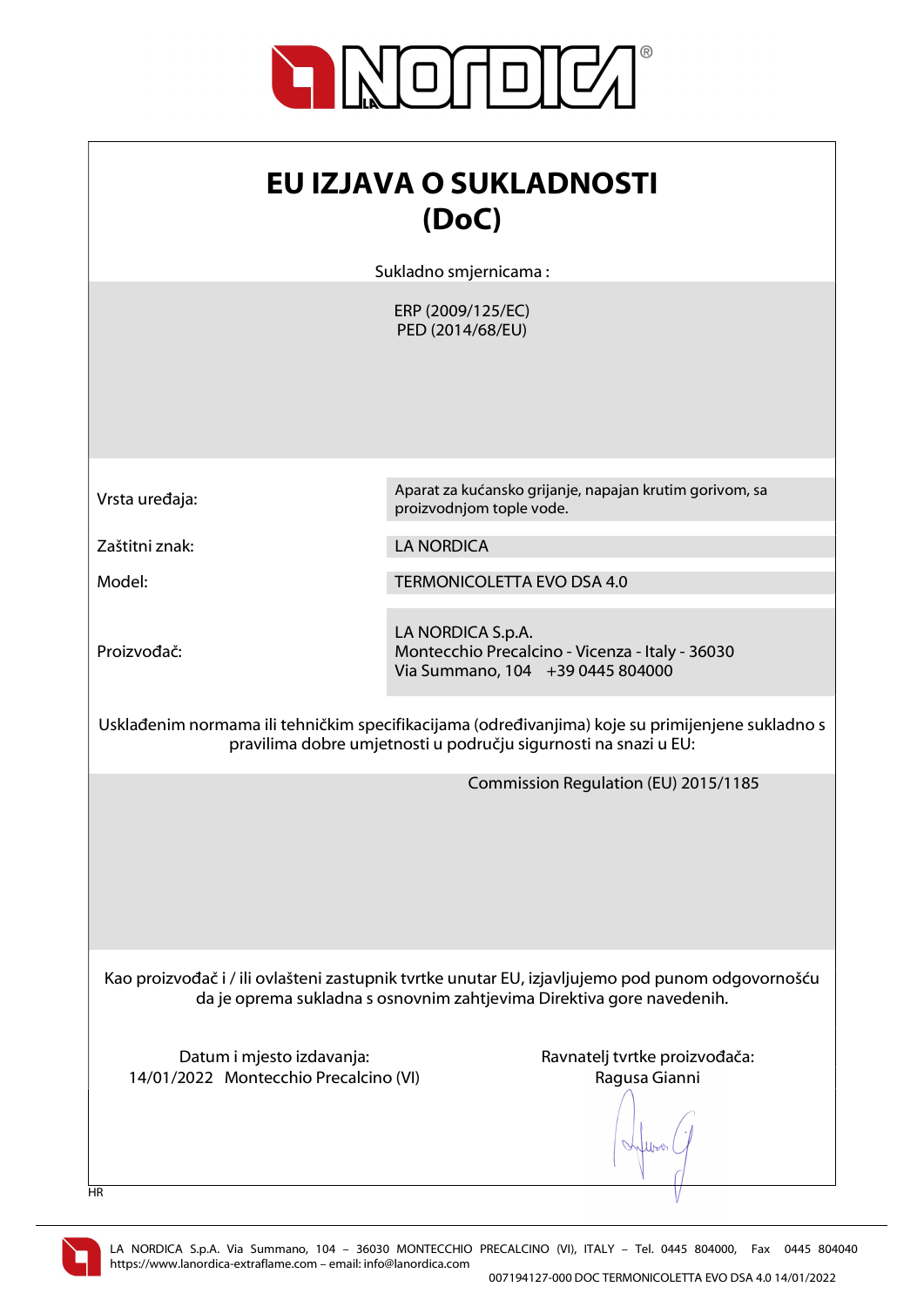

| <b>EU IZJAVA O SUKLADNOSTI</b><br>(DoC)                                                                                                                                   |                                                                                                          |  |
|---------------------------------------------------------------------------------------------------------------------------------------------------------------------------|----------------------------------------------------------------------------------------------------------|--|
|                                                                                                                                                                           | Sukladno smjernicama:                                                                                    |  |
|                                                                                                                                                                           | ERP (2009/125/EC)<br>PED (2014/68/EU)                                                                    |  |
| Vrsta uređaja:                                                                                                                                                            | Aparat za kućansko grijanje, napajan krutim gorivom, sa<br>proizvodnjom tople vode.                      |  |
| Zaštitni znak:                                                                                                                                                            | <b>LA NORDICA</b>                                                                                        |  |
| Model:                                                                                                                                                                    | <b>TERMONICOLETTA EVO DSA 4.0</b>                                                                        |  |
| Proizvođač:                                                                                                                                                               | LA NORDICA S.p.A.<br>Montecchio Precalcino - Vicenza - Italy - 36030<br>Via Summano, 104 +39 0445 804000 |  |
| Usklađenim normama ili tehničkim specifikacijama (određivanjima) koje su primijenjene sukladno s<br>pravilima dobre umjetnosti u području sigurnosti na snazi u EU:       |                                                                                                          |  |
|                                                                                                                                                                           | Commission Regulation (EU) 2015/1185                                                                     |  |
| Kao proizvođač i / ili ovlašteni zastupnik tvrtke unutar EU, izjavljujemo pod punom odgovornošću<br>da je oprema sukladna s osnovnim zahtjevima Direktiva gore navedenih. |                                                                                                          |  |
| Datum i mjesto izdavanja:<br>14/01/2022 Montecchio Precalcino (VI)<br><b>HR</b>                                                                                           | Ravnatelj tvrtke proizvođača:<br>Ragusa Gianni                                                           |  |

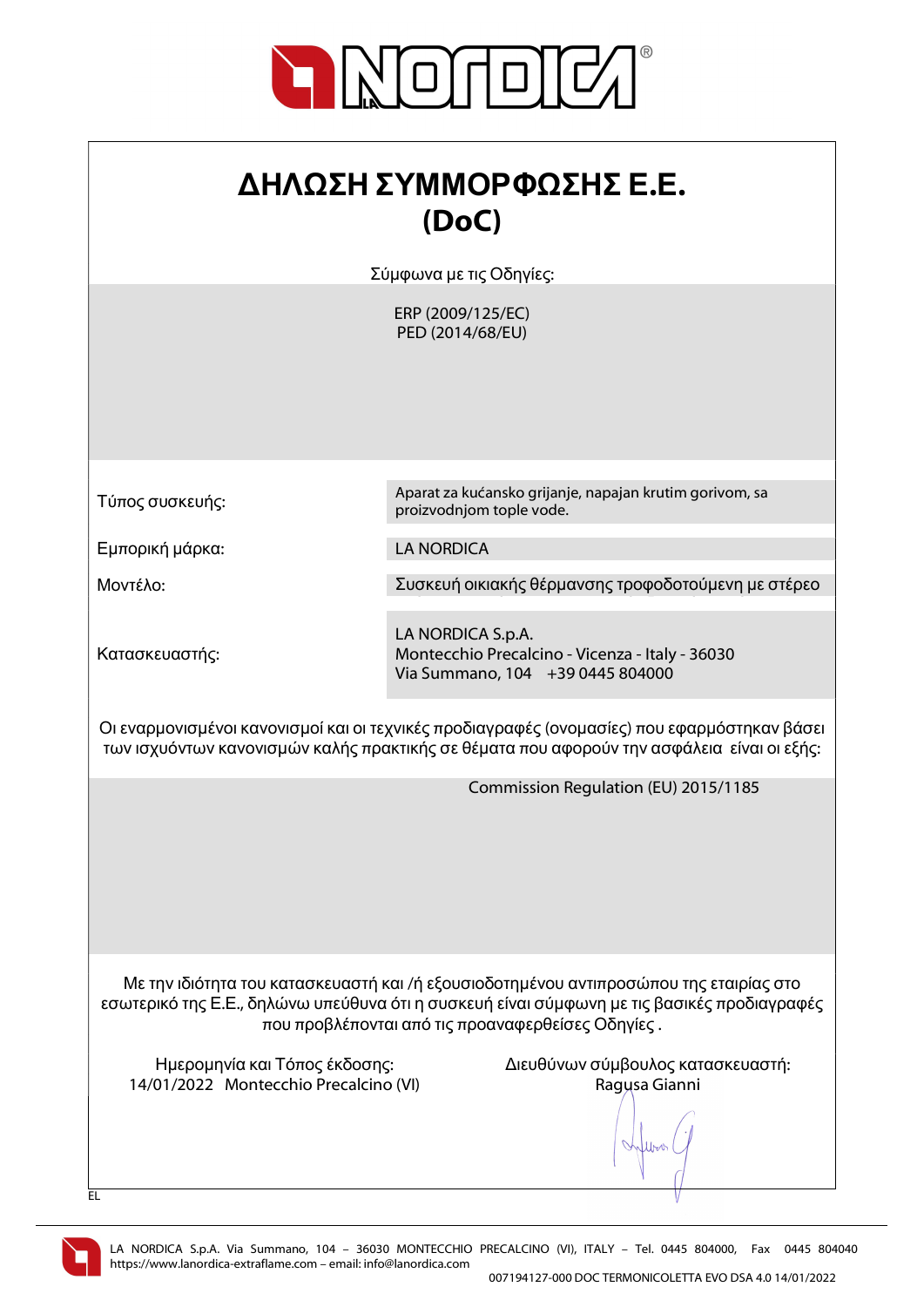

| ΔΗΛΩΣΗ ΣΥΜΜΟΡΦΩΣΗΣ Ε.Ε. |
|-------------------------|
| (DoC)                   |

Σύμφωνα με τις Οδηγίες:

ERP (2009/125/EC) PED (2014/68/EU)

Τύπος συσκευής:

Εμπορική μάρκα: LA NORDICA

Μοντέλο: Συσκευή οικιακής θέρμανσης τροφοδοτούμενη με στέρεο

Κατασκευαστής:

Aparat za kućansko grijanje, napajan krutim gorivom, sa proizvodnjom tople vode.

LA NORDICA S.p.A. Montecchio Precalcino - Vicenza - Italy - 36030 Via Summano, 104 +39 0445 804000

Οι εναρμονισμένοι κανονισμοί και οι τεχνικές προδιαγραφές (ονομασίες) που εφαρμόστηκαν βάσει των ισχυόντων κανονισμών καλής πρακτικής σε θέματα που αφορούν την ασφάλεια είναι οι εξής:

Commission Regulation (EU) 2015/1185

Με την ιδιότητα του κατασκευαστή και /ή εξουσιοδοτημένου αντιπροσώπου της εταιρίας στο εσωτερικό της Ε.Ε., δηλώνω υπεύθυνα ότι η συσκευή είναι σύμφωνη με τις βασικές προδιαγραφές που προβλέπονται από τις προαναφερθείσες Οδηγίες .

14/01/2022 Montecchio Precalcino (VI) Ragusa Gianni

Ημερομηνία και Τόπος έκδοσης: Διευθύνων σύμβουλος κατασκευαστή:

lloo



EL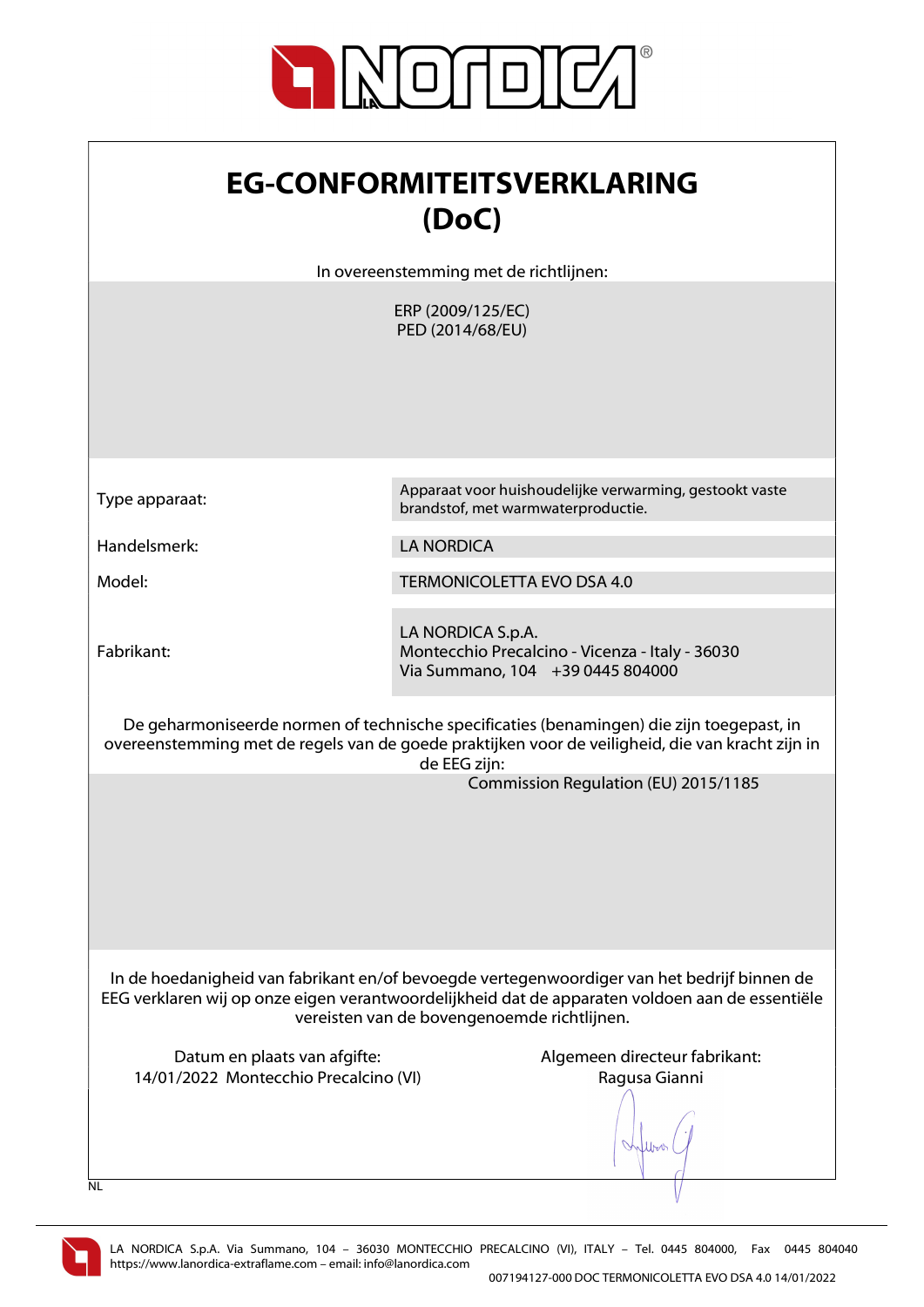

| <b>EG-CONFORMITEITSVERKLARING</b><br>(DoC)                                                                                                                                                                                                    |                                                                                                          |  |
|-----------------------------------------------------------------------------------------------------------------------------------------------------------------------------------------------------------------------------------------------|----------------------------------------------------------------------------------------------------------|--|
|                                                                                                                                                                                                                                               | In overeenstemming met de richtlijnen:                                                                   |  |
|                                                                                                                                                                                                                                               | ERP (2009/125/EC)<br>PED (2014/68/EU)                                                                    |  |
| Type apparaat:                                                                                                                                                                                                                                | Apparaat voor huishoudelijke verwarming, gestookt vaste<br>brandstof, met warmwaterproductie.            |  |
| Handelsmerk:                                                                                                                                                                                                                                  | <b>LA NORDICA</b>                                                                                        |  |
| Model:                                                                                                                                                                                                                                        | <b>TERMONICOLETTA EVO DSA 4.0</b>                                                                        |  |
| Fabrikant:                                                                                                                                                                                                                                    | LA NORDICA S.p.A.<br>Montecchio Precalcino - Vicenza - Italy - 36030<br>Via Summano, 104 +39 0445 804000 |  |
| De geharmoniseerde normen of technische specificaties (benamingen) die zijn toegepast, in<br>overeenstemming met de regels van de goede praktijken voor de veiligheid, die van kracht zijn in<br>de EEG zijn:                                 |                                                                                                          |  |
|                                                                                                                                                                                                                                               | Commission Regulation (EU) 2015/1185                                                                     |  |
| In de hoedanigheid van fabrikant en/of bevoegde vertegenwoordiger van het bedrijf binnen de<br>EEG verklaren wij op onze eigen verantwoordelijkheid dat de apparaten voldoen aan de essentiële<br>vereisten van de bovengenoemde richtlijnen. |                                                                                                          |  |
| Datum en plaats van afgifte:<br>14/01/2022 Montecchio Precalcino (VI)<br>NL                                                                                                                                                                   | Algemeen directeur fabrikant:<br>Ragusa Gianni                                                           |  |

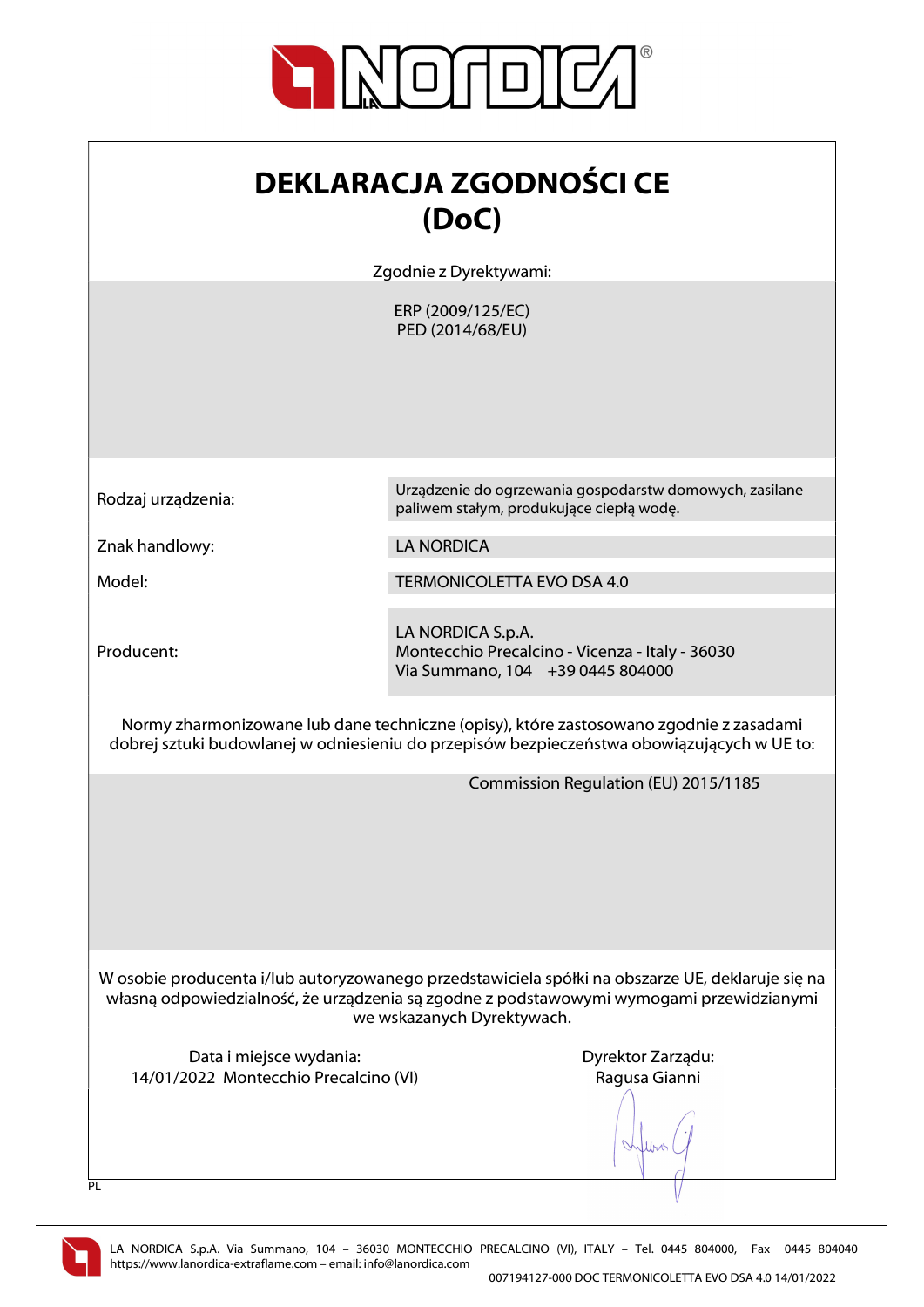

| <b>DEKLARACJA ZGODNOŚCI CE</b> |
|--------------------------------|
| (DoC)                          |

Zgodnie z Dyrektywami:

ERP (2009/125/EC) PED (2014/68/EU)

Znak handlowy: LA NORDICA

Producent:

Rodzaj urządzenia: Urządzenie do ogrzewania gospodarstw domowych, zasilane paliwem stałym, produkujące ciepłą wodę.

Model: TERMONICOLETTA EVO DSA 4.0

LA NORDICA S.p.A. Montecchio Precalcino - Vicenza - Italy - 36030 Via Summano, 104 +39 0445 804000

Normy zharmonizowane lub dane techniczne (opisy), które zastosowano zgodnie z zasadami dobrej sztuki budowlanej w odniesieniu do przepisów bezpieczeństwa obowiązujących w UE to:

Commission Regulation (EU) 2015/1185

W osobie producenta i/lub autoryzowanego przedstawiciela spółki na obszarze UE, deklaruje się na własną odpowiedzialność, że urządzenia są zgodne z podstawowymi wymogami przewidzianymi we wskazanych Dyrektywach.

Data i miejsce wydania: Data i miejsce wydania: Dyrektor Zarządu: 14/01/2022 Montecchio Precalcino (VI) Ragusa Gianni

When



 $\overline{PI}$